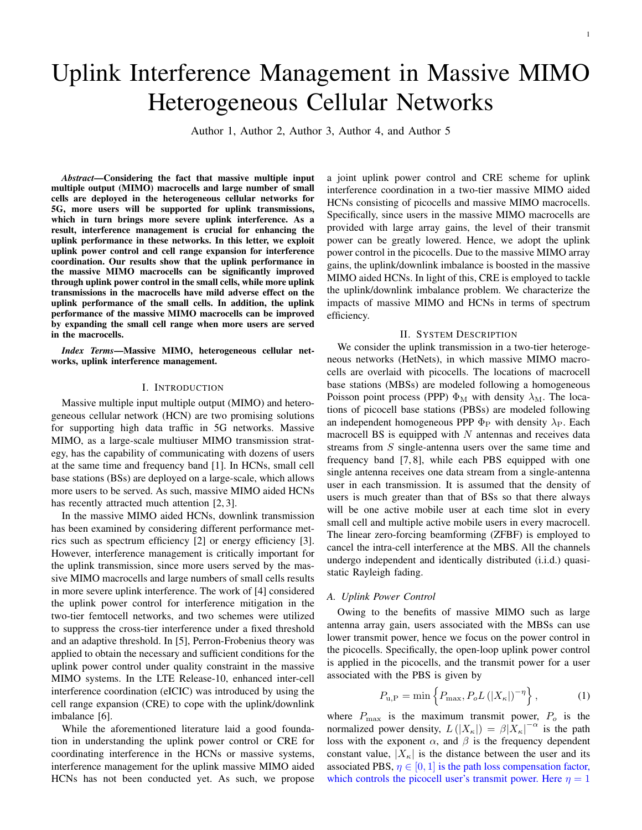# Uplink Interference Management in Massive MIMO Heterogeneous Cellular Networks

Author 1, Author 2, Author 3, Author 4, and Author 5

*Abstract*—Considering the fact that massive multiple input multiple output (MIMO) macrocells and large number of small cells are deployed in the heterogeneous cellular networks for 5G, more users will be supported for uplink transmissions, which in turn brings more severe uplink interference. As a result, interference management is crucial for enhancing the uplink performance in these networks. In this letter, we exploit uplink power control and cell range expansion for interference coordination. Our results show that the uplink performance in the massive MIMO macrocells can be significantly improved through uplink power control in the small cells, while more uplink transmissions in the macrocells have mild adverse effect on the uplink performance of the small cells. In addition, the uplink performance of the massive MIMO macrocells can be improved by expanding the small cell range when more users are served in the macrocells.

*Index Terms*—Massive MIMO, heterogeneous cellular networks, uplink interference management.

## I. INTRODUCTION

Massive multiple input multiple output (MIMO) and heterogeneous cellular network (HCN) are two promising solutions for supporting high data traffic in 5G networks. Massive MIMO, as a large-scale multiuser MIMO transmission strategy, has the capability of communicating with dozens of users at the same time and frequency band [1]. In HCNs, small cell base stations (BSs) are deployed on a large-scale, which allows more users to be served. As such, massive MIMO aided HCNs has recently attracted much attention [2, 3].

In the massive MIMO aided HCNs, downlink transmission has been examined by considering different performance metrics such as spectrum efficiency [2] or energy efficiency [3]. However, interference management is critically important for the uplink transmission, since more users served by the massive MIMO macrocells and large numbers of small cells results in more severe uplink interference. The work of [4] considered the uplink power control for interference mitigation in the two-tier femtocell networks, and two schemes were utilized to suppress the cross-tier interference under a fixed threshold and an adaptive threshold. In [5], Perron-Frobenius theory was applied to obtain the necessary and sufficient conditions for the uplink power control under quality constraint in the massive MIMO systems. In the LTE Release-10, enhanced inter-cell interference coordination (eICIC) was introduced by using the cell range expansion (CRE) to cope with the uplink/downlink imbalance [6].

While the aforementioned literature laid a good foundation in understanding the uplink power control or CRE for coordinating interference in the HCNs or massive systems, interference management for the uplink massive MIMO aided HCNs has not been conducted yet. As such, we propose a joint uplink power control and CRE scheme for uplink interference coordination in a two-tier massive MIMO aided HCNs consisting of picocells and massive MIMO macrocells. Specifically, since users in the massive MIMO macrocells are provided with large array gains, the level of their transmit power can be greatly lowered. Hence, we adopt the uplink power control in the picocells. Due to the massive MIMO array gains, the uplink/downlink imbalance is boosted in the massive MIMO aided HCNs. In light of this, CRE is employed to tackle the uplink/downlink imbalance problem. We characterize the impacts of massive MIMO and HCNs in terms of spectrum efficiency.

# II. SYSTEM DESCRIPTION

We consider the uplink transmission in a two-tier heterogeneous networks (HetNets), in which massive MIMO macrocells are overlaid with picocells. The locations of macrocell base stations (MBSs) are modeled following a homogeneous Poisson point process (PPP)  $\Phi_M$  with density  $\lambda_M$ . The locations of picocell base stations (PBSs) are modeled following an independent homogeneous PPP  $\Phi_P$  with density  $\lambda_P$ . Each macrocell BS is equipped with *N* antennas and receives data streams from *S* single-antenna users over the same time and frequency band [7, 8], while each PBS equipped with one single antenna receives one data stream from a single-antenna user in each transmission. It is assumed that the density of users is much greater than that of BSs so that there always will be one active mobile user at each time slot in every small cell and multiple active mobile users in every macrocell. The linear zero-forcing beamforming (ZFBF) is employed to cancel the intra-cell interference at the MBS. All the channels undergo independent and identically distributed (i.i.d.) quasistatic Rayleigh fading.

## *A. Uplink Power Control*

Owing to the benefits of massive MIMO such as large antenna array gain, users associated with the MBSs can use lower transmit power, hence we focus on the power control in the picocells. Specifically, the open-loop uplink power control is applied in the picocells, and the transmit power for a user associated with the PBS is given by

$$
P_{\rm u,P} = \min\left\{P_{\rm max}, P_o L\left(|X_{\kappa}|\right)^{-\eta}\right\},\tag{1}
$$

where  $P_{\text{max}}$  is the maximum transmit power,  $P_o$  is the normalized power density,  $L(|X_{\kappa}|) = \beta |X_{\kappa}|^{-\alpha}$  is the path loss with the exponent  $\alpha$ , and  $\beta$  is the frequency dependent constant value,  $|X_{\kappa}|$  is the distance between the user and its associated PBS,  $\eta \in [0, 1]$  is the path loss compensation factor, which controls the picocell user's transmit power. Here  $\eta = 1$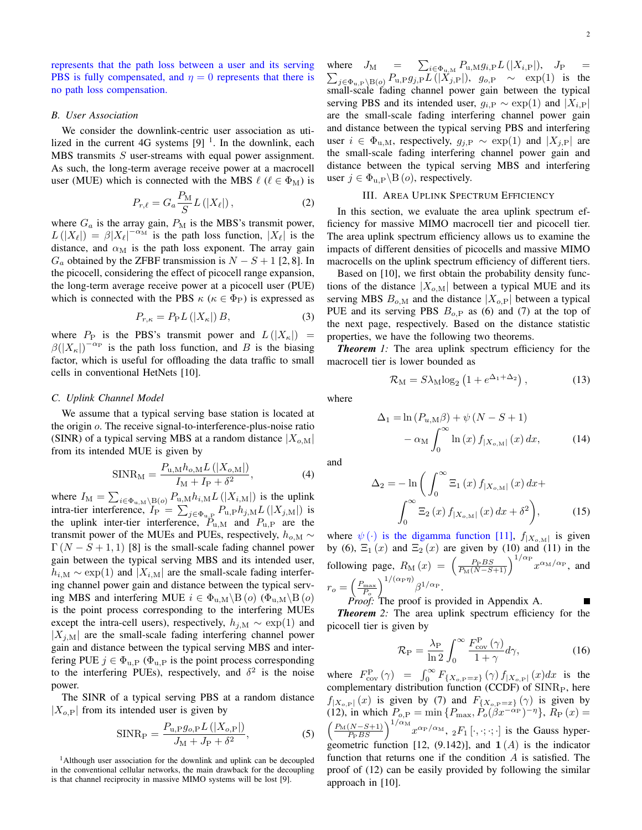represents that the path loss between a user and its serving PBS is fully compensated, and  $\eta = 0$  represents that there is no path loss compensation.

## *B. User Association*

We consider the downlink-centric user association as utilized in the current 4G systems  $[9]$ <sup>1</sup>. In the downlink, each MBS transmits *S* user-streams with equal power assignment. As such, the long-term average receive power at a macrocell user (MUE) which is connected with the MBS  $\ell$  ( $\ell \in \Phi_M$ ) is

$$
P_{r,\ell} = G_a \frac{P_M}{S} L\left(|X_{\ell}|\right),\tag{2}
$$

where  $G_a$  is the array gain,  $P_M$  is the MBS's transmit power,  $L(|X_\ell|) = \beta |X_\ell|^{-\alpha_M}$  is the path loss function,  $|X_\ell|$  is the distance, and  $\alpha_M$  is the path loss exponent. The array gain *G*<sup> $a$ </sup> obtained by the ZFBF transmission is *N* − *S* + 1 [2, 8]. In the picocell, considering the effect of picocell range expansion, the long-term average receive power at a picocell user (PUE) which is connected with the PBS  $\kappa$  ( $\kappa \in \Phi_P$ ) is expressed as

$$
P_{r,\kappa} = P_{\mathcal{P}} L\left(|X_{\kappa}|\right)B,\tag{3}
$$

where  $P_P$  is the PBS's transmit power and  $L(|X_{\kappa}|)$  =  $\beta(|X_{\kappa}|)^{-\alpha_{\rm P}}$  is the path loss function, and *B* is the biasing factor, which is useful for offloading the data traffic to small cells in conventional HetNets [10].

# *C. Uplink Channel Model*

We assume that a typical serving base station is located at the origin *o*. The receive signal-to-interference-plus-noise ratio (SINR) of a typical serving MBS at a random distance  $|X_{o,M}|$ from its intended MUE is given by

$$
SINR_M = \frac{P_{u,M}h_{o,M}L(|X_{o,M}|)}{I_M + I_P + \delta^2},
$$
\n(4)

where  $I_M = \sum_{i \in \Phi_{u,M} \setminus B(o)} P_{u,M} h_{i,M} L(|X_{i,M}|)$  is the uplink intra-tier interference,  $I_P = \sum_{j \in \Phi_{u,P}} P_{u,P} h_{j,M} L(|X_{j,M}|)$  is the uplink inter-tier interference,  $\ddot{P}_{u,M}$  and  $P_{u,P}$  are the transmit power of the MUEs and PUEs, respectively,  $h_{o,M} \sim$  $\Gamma(N - S + 1, 1)$  [8] is the small-scale fading channel power gain between the typical serving MBS and its intended user,  $h_{i,M} \sim \exp(1)$  and  $|X_{i,M}|$  are the small-scale fading interfering channel power gain and distance between the typical serving MBS and interfering MUE  $i \in \Phi_{u,M} \backslash B$  (*o*) ( $\Phi_{u,M} \backslash B$  (*o*) is the point process corresponding to the interfering MUEs except the intra-cell users), respectively,  $h_{j,M} \sim \exp(1)$  and  $|X_{i,M}|$  are the small-scale fading interfering channel power gain and distance between the typical serving MBS and interfering PUE  $j \in \Phi_{\text{u,P}}$  ( $\Phi_{\text{u,P}}$  is the point process corresponding to the interfering PUEs), respectively, and  $\delta^2$  is the noise power.

The SINR of a typical serving PBS at a random distance  $|X_{o,\text{P}}|$  from its intended user is given by

$$
SINR_P = \frac{P_{u,P}g_{o,P}L(|X_{o,P}|)}{J_M + J_P + \delta^2},
$$
\n(5)

<sup>1</sup>Although user association for the downlink and uplink can be decoupled in the conventional cellular networks, the main drawback for the decoupling is that channel reciprocity in massive MIMO systems will be lost [9].

where  $J_M = \sum_{i \in \Phi_{\text{in}} M} P_{\text{u},M} g_{i,P} L(|X_{i,P}|), J_P =$  $\sum_{j \in \Phi_{u,P} \setminus B(o)} \frac{-1}{P_{u,P} g_{j,P} L(|X_{j,P}|)}, \quad g_{o,P} \sim \exp(1)$  is the small-scale fading channel power gain between the typical serving PBS and its intended user,  $g_{i,P} \sim \exp(1)$  and  $|X_{i,P}|$ are the small-scale fading interfering channel power gain and distance between the typical serving PBS and interfering user  $i \in \Phi$ <sub>u,M</sub>, respectively,  $g_{i,P}$  ∼ exp(1) and  $|X_{i,P}|$  are the small-scale fading interfering channel power gain and distance between the typical serving MBS and interfering user  $j \in \Phi_{u,P} \backslash B(o)$ , respectively.

# III. AREA UPLINK SPECTRUM EFFICIENCY

In this section, we evaluate the area uplink spectrum efficiency for massive MIMO macrocell tier and picocell tier. The area uplink spectrum efficiency allows us to examine the impacts of different densities of picocells and massive MIMO macrocells on the uplink spectrum efficiency of different tiers.

Based on [10], we first obtain the probability density functions of the distance  $|X_{o,M}|$  between a typical MUE and its serving MBS  $B_{o,M}$  and the distance  $|X_{o,P}|$  between a typical PUE and its serving PBS *Bo,*<sup>P</sup> as (6) and (7) at the top of the next page, respectively. Based on the distance statistic properties, we have the following two theorems.

*Theorem* 1: The area uplink spectrum efficiency for the macrocell tier is lower bounded as

$$
\mathcal{R}_{\rm M} = S\lambda_{\rm M}\log_2\left(1 + e^{\Delta_1 + \Delta_2}\right),\tag{13}
$$

where

$$
\Delta_1 = \ln (P_{u,M}\beta) + \psi (N - S + 1)
$$

$$
- \alpha_M \int_0^\infty \ln (x) f_{|X_{o,M}|} (x) dx, \qquad (14)
$$

and

$$
\Delta_2 = -\ln\left(\int_0^\infty \Xi_1(x) f_{|X_{o,\text{M}}|}(x) dx + \int_0^\infty \Xi_2(x) f_{|X_{o,\text{M}}|}(x) dx + \delta^2\right),\tag{15}
$$

where  $\psi(\cdot)$  is the digamma function [11],  $f_{|X_{o,M}|}$  is given by (6),  $\Xi_1(x)$  and  $\Xi_2(x)$  are given by (10) and (11) in the  $\text{following page, } R_{\text{M}}(x) = \left(\frac{P_{\text{P}}BS}{P_{\text{M}}(N-S+1)}\right)^{1/\alpha_{\text{P}}} x^{\alpha_{\text{M}}/\alpha_{\text{P}}}$ , and  $r_o = \left(\frac{P_{\text{max}}}{P_o}\right)$  $\int^{1/(\alpha_{\rm P}\eta)}\!\beta^{1/\alpha_{\rm P}}.$ 

*Proof:* The proof is provided in Appendix A. *Theorem 2:* The area uplink spectrum efficiency for the picocell tier is given by

$$
\mathcal{R}_{\rm P} = \frac{\lambda_{\rm P}}{\ln 2} \int_0^\infty \frac{F_{\rm cov}^{\rm P}(\gamma)}{1 + \gamma} d\gamma,\tag{16}
$$

where  $F_{\text{cov}}^{\text{P}}(\gamma) = \int_{0}^{\infty} F_{\{X_{o,\text{P}}=x\}}(\gamma) f_{|X_{o,\text{P}}|}(x) dx$  is the complementary distribution function (CCDF) of SINR<sub>P</sub>, here *f*<sub>|*X<sub>o,P</sub>*| (*x*) is given by (7) and  $F$ <sub>{*X<sub>o,P</sub>*=*x*} (*γ*) is given by</sub></sub>  $(12)$ , in which  $P_{o,P} = \min\{P_{\text{max}}, P_o(\beta x^{-\alpha_P})^{-\eta}\}, R_P(x) = 0$  $\left(\frac{P_M(N-S+1)}{P_PBS}\right)^{1/\alpha_M} x^{\alpha_P/\alpha_M}$ ,  $_2F_1[\cdot, \cdot; \cdot; \cdot]$  is the Gauss hypergeometric function [12,  $(9.142)$ ], and  $\mathbf{1}(A)$  is the indicator function that returns one if the condition *A* is satisfied. The proof of (12) can be easily provided by following the similar approach in [10].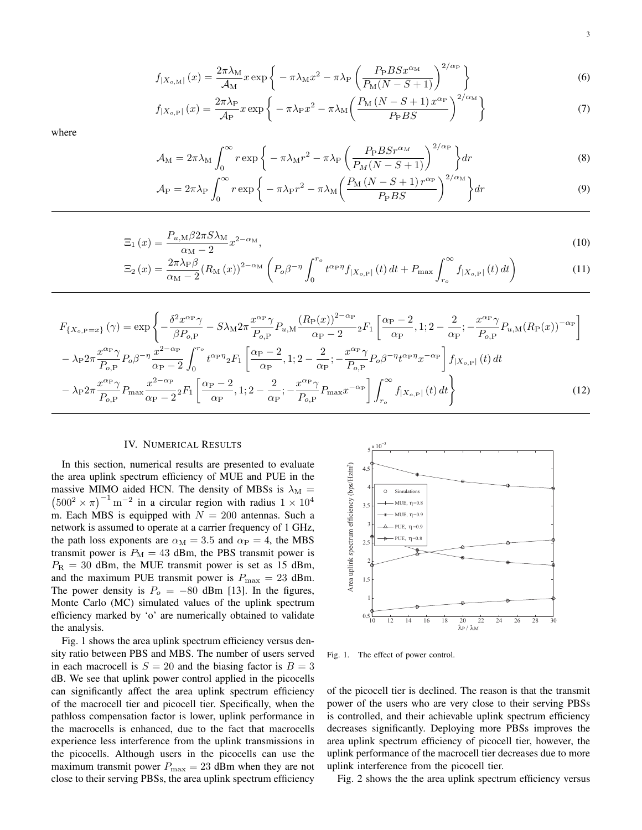$$
f_{|X_{o,\text{M}}|}(x) = \frac{2\pi\lambda_{\text{M}}}{\mathcal{A}_{\text{M}}}x\exp\left\{-\pi\lambda_{\text{M}}x^2 - \pi\lambda_{\text{P}}\left(\frac{P_{\text{P}}BSx^{\alpha_{\text{M}}}}{P_{\text{M}}(N-S+1)}\right)^{2/\alpha_{\text{P}}}\right\}
$$
(6)

$$
f_{|X_{o,\mathcal{P}}|}(x) = \frac{2\pi\lambda_{\mathcal{P}}}{\mathcal{A}_{\mathcal{P}}}x\exp\left\{-\pi\lambda_{\mathcal{P}}x^2 - \pi\lambda_{\mathcal{M}}\left(\frac{P_{\mathcal{M}}\left(N - S + 1\right)x^{\alpha_{\mathcal{P}}}}{P_{\mathcal{P}}BS}\right)^{2/\alpha_{\mathcal{M}}}\right\} \tag{7}
$$

where

$$
\mathcal{A}_{\rm M} = 2\pi\lambda_{\rm M} \int_0^\infty r \exp\bigg\{-\pi\lambda_{\rm M}r^2 - \pi\lambda_{\rm P}\left(\frac{P_{\rm P}BSr^{\alpha_{\rm M}}}{P_M(N-S+1)}\right)^{2/\alpha_{\rm P}}\bigg\} dr\tag{8}
$$

$$
\mathcal{A}_{P} = 2\pi\lambda_{P} \int_{0}^{\infty} r \exp\left\{-\pi\lambda_{P}r^{2} - \pi\lambda_{M} \left(\frac{P_{M}\left(N - S + 1\right)r^{\alpha_{P}}}{P_{P}BS}\right)^{2/\alpha_{M}}\right\} dr\tag{9}
$$

$$
\Xi_1(x) = \frac{P_{u,M} \beta 2\pi S \lambda_M}{\alpha_M - 2} x^{2-\alpha_M},\tag{10}
$$

$$
\Xi_2(x) = \frac{2\pi\lambda_P\beta}{\alpha_M - 2} (R_M(x))^{2-\alpha_M} \left( P_o \beta^{-\eta} \int_0^{r_o} t^{\alpha_P \eta} f_{|X_{o,P}|}(t) dt + P_{\text{max}} \int_{r_o}^{\infty} f_{|X_{o,P}|}(t) dt \right)
$$
(11)

$$
F_{\{X_{o,\text{P}}=x\}}\left(\gamma\right) = \exp\left\{-\frac{\delta^2 x^{\alpha_{\text{P}}}\gamma}{\beta P_{o,\text{P}}} - S\lambda_{\text{M}} 2\pi \frac{x^{\alpha_{\text{P}}}\gamma}{P_{o,\text{P}}} P_{u,\text{M}} \frac{\left(R_{\text{P}}(x)\right)^{2-\alpha_{\text{P}}}}{\alpha_{\text{P}}-2} {}_2F_1 \left[\frac{\alpha_{\text{P}}-2}{\alpha_{\text{P}}}, 1; 2-\frac{2}{\alpha_{\text{P}}} ; -\frac{x^{\alpha_{\text{P}}}\gamma}{P_{o,\text{P}}} P_{u,\text{M}} \left(R_{\text{P}}(x)\right)^{-\alpha_{\text{P}}}\right] \right\}
$$

$$
-\lambda_{\text{P}} 2\pi \frac{x^{\alpha_{\text{P}}}\gamma}{P_{o,\text{P}}} P_o \beta^{-\eta} \frac{x^{2-\alpha_{\text{P}}}}{\alpha_{\text{P}}-2} \int_0^{r_o} t^{\alpha_{\text{P}}\eta} {}_2F_1 \left[\frac{\alpha_{\text{P}}-2}{\alpha_{\text{P}}}, 1; 2-\frac{2}{\alpha_{\text{P}}} ; -\frac{x^{\alpha_{\text{P}}}\gamma}{P_{o,\text{P}}} P_o \beta^{-\eta} t^{\alpha_{\text{P}}\eta} x^{-\alpha_{\text{P}}}\right] f_{|X_{o,\text{P}}|}\left(t\right) dt
$$

$$
-\lambda_{\text{P}} 2\pi \frac{x^{\alpha_{\text{P}}}\gamma}{P_{o,\text{P}}} P_{\text{max}} \frac{x^{2-\alpha_{\text{P}}}}{\alpha_{\text{P}}-2} {}_2F_1 \left[\frac{\alpha_{\text{P}}-2}{\alpha_{\text{P}}}, 1; 2-\frac{2}{\alpha_{\text{P}}}; -\frac{x^{\alpha_{\text{P}}}\gamma}{P_{o,\text{P}}} P_{\text{max}} x^{-\alpha_{\text{P}}}\right] \int_{r_o}^{\infty} f_{|X_{o,\text{P}}|}\left(t\right) dt\right\}
$$
(12)

# IV. NUMERICAL RESULTS

In this section, numerical results are presented to evaluate the area uplink spectrum efficiency of MUE and PUE in the massive MIMO aided HCN. The density of MBSs is  $\lambda_M = (500^2 \times \pi)^{-1}$  m<sup>-2</sup> in a circular region with radius  $1 \times 10^4$ m. Each MBS is equipped with  $N = 200$  antennas. Such a network is assumed to operate at a carrier frequency of 1 GHz, the path loss exponents are  $\alpha_M = 3.5$  and  $\alpha_P = 4$ , the MBS transmit power is  $P_M = 43$  dBm, the PBS transmit power is  $P_{\rm R}$  = 30 dBm, the MUE transmit power is set as 15 dBm, and the maximum PUE transmit power is  $P_{\text{max}} = 23$  dBm. The power density is  $P_o = -80$  dBm [13]. In the figures, Monte Carlo (MC) simulated values of the uplink spectrum efficiency marked by 'o' are numerically obtained to validate the analysis.

Fig. 1 shows the area uplink spectrum efficiency versus density ratio between PBS and MBS. The number of users served in each macrocell is  $S = 20$  and the biasing factor is  $B = 3$ dB. We see that uplink power control applied in the picocells can significantly affect the area uplink spectrum efficiency of the macrocell tier and picocell tier. Specifically, when the pathloss compensation factor is lower, uplink performance in the macrocells is enhanced, due to the fact that macrocells experience less interference from the uplink transmissions in the picocells. Although users in the picocells can use the maximum transmit power  $P_{\text{max}} = 23$  dBm when they are not close to their serving PBSs, the area uplink spectrum efficiency



Fig. 1. The effect of power control.

of the picocell tier is declined. The reason is that the transmit power of the users who are very close to their serving PBSs is controlled, and their achievable uplink spectrum efficiency decreases significantly. Deploying more PBSs improves the area uplink spectrum efficiency of picocell tier, however, the uplink performance of the macrocell tier decreases due to more uplink interference from the picocell tier.

Fig. 2 shows the the area uplink spectrum efficiency versus